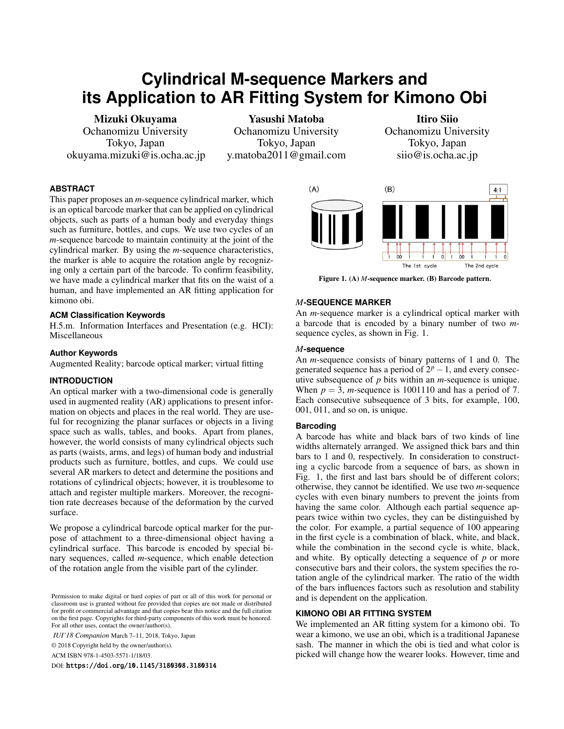# **Cylindrical M-sequence Markers and its Application to AR Fitting System for Kimono Obi**

Mizuki Okuyama Ochanomizu University Tokyo, Japan okuyama.mizuki@is.ocha.ac.jp

Yasushi Matoba Ochanomizu University Tokyo, Japan y.matoba2011@gmail.com

Itiro Siio Ochanomizu University Tokyo, Japan siio@is.ocha.ac.jp

# **ABSTRACT**

This paper proposes an *m*-sequence cylindrical marker, which is an optical barcode marker that can be applied on cylindrical objects, such as parts of a human body and everyday things such as furniture, bottles, and cups. We use two cycles of an *m*-sequence barcode to maintain continuity at the joint of the cylindrical marker. By using the *m*-sequence characteristics, the marker is able to acquire the rotation angle by recognizing only a certain part of the barcode. To confirm feasibility, we have made a cylindrical marker that fits on the waist of a human, and have implemented an AR fitting application for kimono obi.

## **ACM Classification Keywords**

H.5.m. Information Interfaces and Presentation (e.g. HCI): Miscellaneous

#### **Author Keywords**

Augmented Reality; barcode optical marker; virtual fitting

## **INTRODUCTION**

An optical marker with a two-dimensional code is generally used in augmented reality (AR) applications to present information on objects and places in the real world. They are useful for recognizing the planar surfaces or objects in a living space such as walls, tables, and books. Apart from planes, however, the world consists of many cylindrical objects such as parts (waists, arms, and legs) of human body and industrial products such as furniture, bottles, and cups. We could use several AR markers to detect and determine the positions and rotations of cylindrical objects; however, it is troublesome to attach and register multiple markers. Moreover, the recognition rate decreases because of the deformation by the curved surface.

We propose a cylindrical barcode optical marker for the purpose of attachment to a three-dimensional object having a cylindrical surface. This barcode is encoded by special binary sequences, called *m*-sequence, which enable detection of the rotation angle from the visible part of the cylinder.

*IUI'18 Companion* March 7–11, 2018, Tokyo, Japan

© 2018 Copyright held by the owner/author(s).

ACM ISBN 978-1-4503-5571-1/18/03.

DOI: https://doi.org/10.1145/3180308.3180314



Figure 1. (A) *M*-sequence marker. (B) Barcode pattern.

#### *M***-SEQUENCE MARKER**

An *m*-sequence marker is a cylindrical optical marker with a barcode that is encoded by a binary number of two *m*sequence cycles, as shown in Fig. 1.

#### *M***-sequence**

An *m*-sequence consists of binary patterns of 1 and 0. The generated sequence has a period of  $2^p - 1$ , and every consecutive subsequence of *p* bits within an *m*-sequence is unique. When  $p = 3$ , *m*-sequence is 1001110 and has a period of 7. Each consecutive subsequence of 3 bits, for example, 100, 001, 011, and so on, is unique.

# **Barcoding**

A barcode has white and black bars of two kinds of line widths alternately arranged. We assigned thick bars and thin bars to 1 and 0, respectively. In consideration to constructing a cyclic barcode from a sequence of bars, as shown in Fig. 1, the first and last bars should be of different colors; otherwise, they cannot be identified. We use two *m*-sequence cycles with even binary numbers to prevent the joints from having the same color. Although each partial sequence appears twice within two cycles, they can be distinguished by the color. For example, a partial sequence of 100 appearing in the first cycle is a combination of black, white, and black, while the combination in the second cycle is white, black, and white. By optically detecting a sequence of *p* or more consecutive bars and their colors, the system specifies the rotation angle of the cylindrical marker. The ratio of the width of the bars influences factors such as resolution and stability and is dependent on the application.

### **KIMONO OBI AR FITTING SYSTEM**

We implemented an AR fitting system for a kimono obi. To wear a kimono, we use an obi, which is a traditional Japanese sash. The manner in which the obi is tied and what color is picked will change how the wearer looks. However, time and

Permission to make digital or hard copies of part or all of this work for personal or classroom use is granted without fee provided that copies are not made or distributed for profit or commercial advantage and that copies bear this notice and the full citation on the first page. Copyrights for third-party components of this work must be honored. For all other uses, contact the owner/author(s).